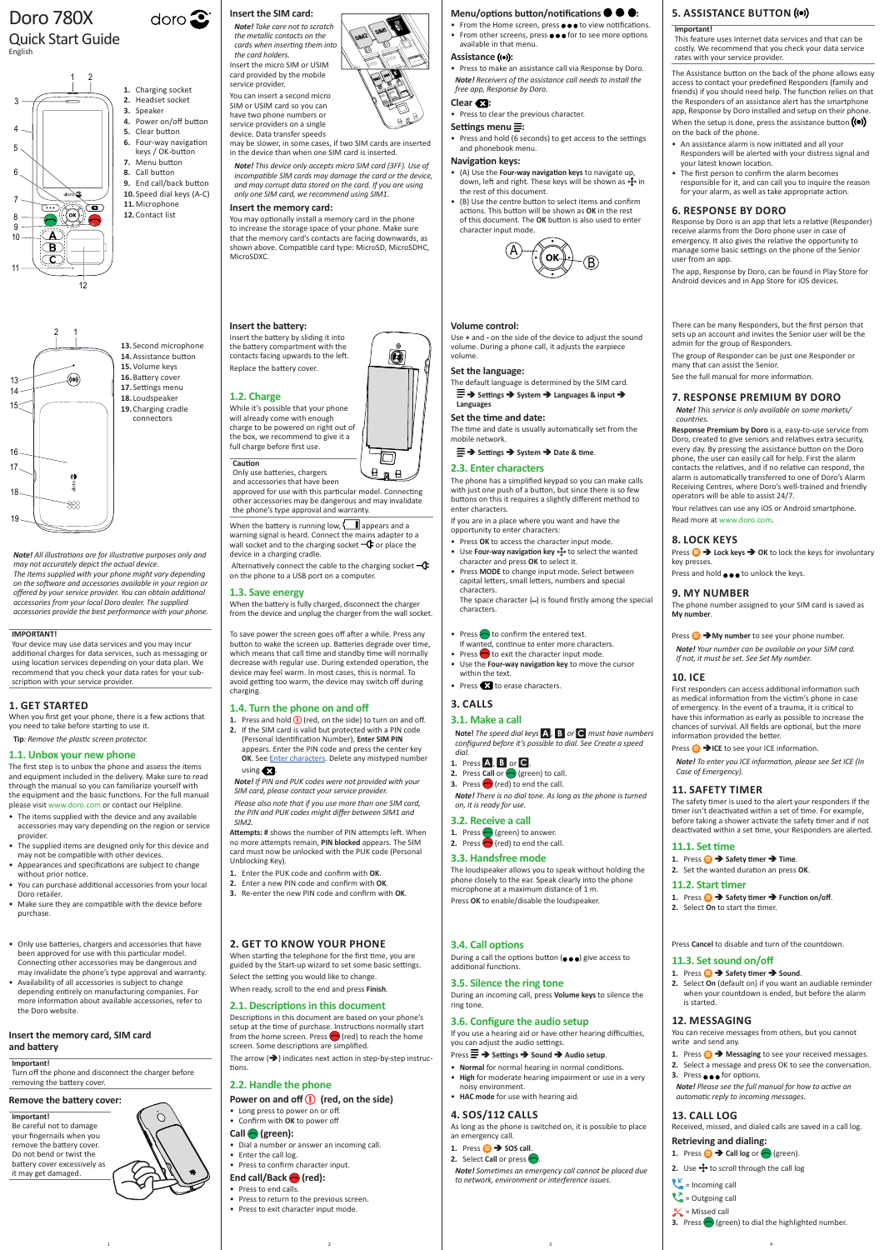*Note! All illustrations are for illustrative purposes only and may not accurately depict the actual device. The items supplied with your phone might vary depending on the software and accessories available in your region or offered by your service provider. You can obtain additional* 

*accessories from your local Doro dealer. The supplied accessories provide the best performance with your phone.*

**2. GET TO KNOW YOUR PHONE**

#### Menu/options button/notifications  $\bullet \bullet$ :

The arrow  $(\rightarrow)$  indicates next action in step-by-step instructions.

When starting the telephone for the first time, you are guided by the Start-up wizard to set some basic settings. Select the setting you would like to change. When ready, scroll to the end and press **Finish**.

# **2.1. Descriptions in this document**

During a call the options button  $(\bullet\bullet\bullet)$  give access to additional functions.

Descriptions in this document are based on your phone's setup at the time of purchase. Instructions normally start from the home screen. Press  $\bigcirc$  (red) to reach the home screen. Some descriptions are simplified.

- Press  $\equiv$  **→** Settings → Sound → Audio setup.
- **Normal** for normal hearing in normal conditions.
- **High** for moderate hearing impairment or use in a very noisy environment.
- **HAC mode** for use with hearing aid.

# **2.2. Handle the phone**

# **Power on and off (1)** (red, on the side)

- Long press to power on or off.
- Confirm with **OK** to power off

# **Call (green):**

- Dial a number or answer an incoming call.
- Enter the call log.
- Press to confirm character input.

# End call/Back **(red)**:

- Press to end calls.
- Press to return to the previous screen.
- Press to exit character input mode.

# **3.4. Call options**

# **3.5. Silence the ring tone**

During an incoming call, press **Volume keys** to silence the ring tone.

# **3.6. Configure the audio setup**

If you use a hearing aid or have other hearing difficulties, you can adjust the audio settings.

# **4. SOS/112 CALLS**

As long as the phone is switched on, it is possible to place an emergency call.

- 1. Press  $\bigoplus$   $\rightarrow$  **SOS call**.
- **2.** Select **Call** or press  $\bigcirc$

When the battery is running low,  $\Box$  appears and a warning signal is heard. Connect the mains adapter to a wall socket and to the charging socket  $-\mathbf{C}$  or place the device in a charging cradle.

Alternatively connect the cable to the charging socket  $-\mathbf{G}$ on the phone to a USB port on a computer.

> *Note! Sometimes an emergency call cannot be placed due to network, environment or interference issues.*

**Press Cancel** to disable

# Doro 780X

#### Quick Start Guide English

# **Insert the SIM card:**

doro $\mathbf{\Omega}$ 

*Note! Take care not to scratch the metallic contacts on the cards when inserting them into the card holders.* Insert the micro SIM or USIM card provided by the mobile service provider. You can insert a second micro SIM or USIM card so you can

**1.** Press and hold  $\bigcirc$  (red, on the side) to turn on and off. **2.** If the SIM card is valid but protected with a PIN code (Personal Identification Number), **Enter SIM PIN**

have two phone numbers or service providers on a single device. Data transfer speeds

may be slower, in some cases, if two SIM cards are inserted in the device than when one SIM card is inserted.

*Note! This device only accepts micro SIM card (3FF). Use of incompatible SIM cards may damage the card or the device, and may corrupt data stored on the card. If you are using only one SIM card, we recommend using SIM1.*

• From the Home screen, press  $\bullet \bullet \bullet$  to view notifications. • From other screens, press  $\bullet \bullet \bullet$  for to see more options available in that menu.

## Assistance (( $\bullet$ )):

#### **Insert the memory card:**

You may optionally install a memory card in the phone to increase the storage space of your phone. Make sure that the memory card's contacts are facing downwards, as shown above. Compatible card type: MicroSD, MicroSDHC, MicroSDXC.

#### **Insert the battery:**

The default language is determined by the SIM card.  $\equiv$   $\rightarrow$  Settings  $\rightarrow$  System  $\rightarrow$  Languages & input  $\rightarrow$ 

Insert the battery by sliding it into the battery compartment with the contacts facing upwards to the left. Replace the battery cover.

### **1.2. Charge**

While it's possible that your phone will already come with enough charge to be powered on right out of the box, we recommend to give it a full charge before first use.

**Caution** Only use batteries, chargers and accessories that have been

approved for use with this particular model. Connecting other accessories may be dangerous and may invalidate the phone's type approval and warranty.

#### **1.3. Save energy**

When the battery is fully charged, disconnect the charger from the device and unplug the charger from the wall socket.

To save power the screen goes off after a while. Press any button to wake the screen up. Batteries degrade over time, which means that call time and standby time will normally decrease with regular use. During extended operation, the device may feel warm. In most cases, this is normal. To avoid getting too warm, the device may switch off during charging.

#### **1.4. Turn the phone on and off**

appears. Enter the PIN code and press the center key **OK**. See [Enter characters.](#page-0-0) Delete any mistyped number

# using  $\mathbf{Z}$ .

*Note! If PIN and PUK codes were not provided with your SIM card, please contact your service provider.*

*Please also note that if you use more than one SIM card, the PIN and PUK codes might differ between SIM1 and SIM2.*

**Attempts: #** shows the number of PIN attempts left. When no more attempts remain, **PIN blocked** appears. The SIM card must now be unlocked with the PUK code (Personal Unblocking Key).

Press  $\bigoplus$  **My number** to see your phone number. *Note! Your number can be available on your SIM card.*

- **1.** Enter the PUK code and confirm with **OK**.
- **2.** Enter a new PIN code and confirm with **OK**.
- **3.** Re-enter the new PIN code and confirm with **OK**.

• Press to make an assistance call via Response by Doro. *Note! Receivers of the assistance call needs to install the free app, Response by Doro.*

# Clear **&3**:

1. Press  $\bigoplus$  > Safety timer  $\bigoplus$  Time. **2.** Set the wanted duration an press **OK**.

• Press to clear the previous character.

# Settings menu<sup> $\equiv$ </sup>:

**1.** Press **<b>B** → Safety timer → Function on/off. **2.** Select **On** to start the timer.

• Press and hold (6 seconds) to get access to the settings and phonebook menu.

#### **Navigation keys:**

- (A) Use the **Four-way navigation keys** to navigate up, down, left and right. These keys will be shown as  $\bigoplus$  in the rest of this document.
- (B) Use the centre button to select items and confirm actions. This button will be shown as **OK** in the rest of this document. The **OK** button is also used to enter character input mode.



#### **Volume control:**

Use **+** and **-** on the side of the device to adjust the sound volume. During a phone call, it adjusts the earpiece volume.

#### **Set the language:**

O

 $\Box$  $H \n  $H$$ 

# **Languages**

**Set the time and date:** The time and date is usually automatically set from the mobile network.

<span id="page-0-0"></span> $\equiv$  $\rightarrow$  Settings  $\rightarrow$  System  $\rightarrow$  Date & time.

#### **2.3. Enter characters**

- Only use batteries, chargers and accessories that hav been approved for use with this particular model. Connecting other accessories may be dangerous and may invalidate the phone's type approval and warranty.
- Availability of all accessories is subject to change depending entirely on manufacturing companies. For more information about available accessories, refer to the Doro website.

The phone has a simplified keypad so you can make calls with just one push of a button, but since there is so few buttons on this it requires a slightly different method to enter characters.

If you are in a place where you want and have the opportunity to enter characters:

- Press **OK** to access the character input mode.
- Use **Four-way navigation key** to select the wanted character and press **OK** to select it.
- Press **MODE** to change input mode. Select between capital letters, small letters, numbers and special characters.

The space character (**˽**) is found firstly among the special characters.

- Press  $\bigcirc$  to confirm the entered text.
- If wanted, continue to enter more characters.
- Press  $\bigcirc$  to exit the character input mode. • Use the **Four-way navigation key** to move the cursor
- within the text. • Press **to** erase characters.

# **3. CALLS**

## **3.1. Make a call**

**Note!** *The speed dial keys* A*,* B *or* C *must have numbers configured before it's possible to dial. See [Create a speed](#page-1-0)  [dial](#page-1-0).*

# **1.** Press A, B or C.

- **2.** Press **Call** or  $\bigcirc$  (green) to call.
- **3.** Press  $\bigcirc$  (red) to end the call.

*Note! There is no dial tone. As long as the phone is turned on, it is ready for use.*

# **3.2. Receive a call**

- 1. Press **(exercise**) to answer.
- **2.** Press  $\bigcirc$  (red) to end the call.

# **3.3. Handsfree mode**

The loudspeaker allows you to speak without holding the phone closely to the ear. Speak clearly into the phone microphone at a maximum distance of 1 m. Press **OK** to enable/disable the loudspeaker.

# **5. ASSISTANCE BUTTON**

#### **Important!**

This feature uses Internet data services and that can be costly. We recommend that you check your data service rates with your service provider.

The Assistance button on the back of the phone allows easy access to contact your predefined Responders (family and friends) if you should need help. The function relies on that the Responders of an assistance alert has the smartphone app, Response by Doro installed and setup on their phone. When the setup is done, press the assistance button  $( \bullet )$ on the back of the phone.

- An assistance alarm is now initiated and all your Responders will be alerted with your distress signal and your latest known location.
- The first person to confirm the alarm becomes responsible for it, and can call you to inquire the reason for your alarm, as well as take appropriate action.

#### **6. RESPONSE BY DORO**

Response by Doro is an app that lets a relative (Responder) receive alarms from the Doro phone user in case of emergency. It also gives the relative the opportunity to manage some basic settings on the phone of the Senior user from an app.

The app, Response by Doro, can be found in Play Store for Android devices and in App Store for iOS devices.

There can be many Responders, but the first person that sets up an account and invites the Senior user will be the

admin for the group of Responders.

The group of Responder can be just one Responder or

many that can assist the Senior. See the full manual for more information.

**7. RESPONSE PREMIUM BY DORO** *Note! This service is only available on some markets/*

*countries.*

**Response Premium by Doro** is a, easy-to-use service from Doro, created to give seniors and relatives extra security, every day. By pressing the assistance button on the Doro phone, the user can easily call for help. First the alarm contacts the relatives, and if no relative can respond, the alarm is automatically transferred to one of Doro's Alarm Receiving Centres, where Doro's well-trained and friendly

operators will be able to assist 24/7.

Press and hold  $\bullet \bullet \bullet$  to unlock the keys.

Your relatives can use any iOS or Android smartphone.

Press  $\bigoplus$   $\rightarrow$  Lock keys  $\rightarrow$  OK to lock the keys for involuntary

Read more at www.doro.com.

**8. LOCK KEYS**

key presses.

**9. MY NUMBER**

The phone number assigned to your SIM card is saved as

**My number**.

*If not, it must be set. See [Set My number](#page-1-1).*

Press **ID**  $\rightarrow$  ICE to see your ICE information.

**10. ICE**

First responders can access additional information such as medical information from the victim's phone in case of emergency. In the event of a trauma, it is critical to have this information as early as possible to increase the chances of survival. All fields are optional, but the more

information provided the better.

*Note! To enter you ICE information, please see [Set ICE \(In](#page-1-2)* 

*[Case of Emergency\)](#page-1-2).* **11. SAFETY TIMER**

The safety timer is used to the alert your responders if the timer isn't deactivated within a set of time. For example, before taking a shower activate the safety timer and if not deactivated within a set time, your Responders are alerted.

**11.1. Set time**

**11.2. Start timer**

# **11.3. Set sound on/off**

1. Press  $\bigoplus$   $\rightarrow$  Safety timer  $\rightarrow$  Sound.

**2.** Select **On** (default on) if you want an audiable reminder when your countdown is ended, but before the alarm is started.

# **12. MESSAGING**

You can receive messages from others, but you cannot write and send any.

- 1. Press  $\bigoplus$  **Messaging** to see your received messages.
- **2.** Select a message and press OK to see the conversation.
- **3.** Press  $\bullet \bullet \bullet$  for options.

*Note! Please see the full manual for how to active an automatic reply to incoming messages.*

# **13. CALL LOG**

Received, missed, and dialed calls are saved in a call log.

## **Retrieving and dialing:**

**1.** Press  $\bigoplus$   $\rightarrow$  **Call log** or  $\bigodot$  (green).

**2.** Use  $\bigoplus$  to scroll through the call log



1 and  $\begin{array}{ccc} 1 & 3 & 4 \end{array}$ 





17 **12.**Contact list **5.** Clear button<br>**6.** Four-way navigation 16 **10.**Speed dial keys (A-C) keys / OK-button 12 **7.** Menu button **8.** Call button **9.** End call/back button **11.**Microphone

### **Insert the memory card, SIM card and battery**

#### **Important!**

Turn off the phone and disconnect the charger before removing the battery cover.

## **Remove the battery cover:**

#### **Important!**

Be careful not to damage your fingernails when you remove the battery cover. Do not bend or twist the battery cover excessively as it may get damaged.

#### **IMPORTANT!**

Your device may use data services and you may incur additional charges for data services, such as messaging or using location services depending on your data plan. We recommend that you check your data rates for your subscription with your service provider.

#### **1. GET STARTED**

When you first get your phone, there is a few actions that you need to take before starting to use it.

**Tip***: Remove the plastic screen protector.*

#### **1.1. Unbox your new phone**

The first step is to unbox the phone and assess the items and equipment included in the delivery. Make sure to read through the manual so you can familiarize yourself with the equipment and the basic functions. For the full manual please visit www.doro.com or contact our Helpline.

- The items supplied with the device and any available accessories may vary depending on the region or service provider.
- The supplied items are designed only for this device and may not be compatible with other devices.
- Appearances and specifications are subject to change without prior notice.
- You can purchase additional accessories from your local Doro retailer.
- Make sure they are compatible with the device before purchase.